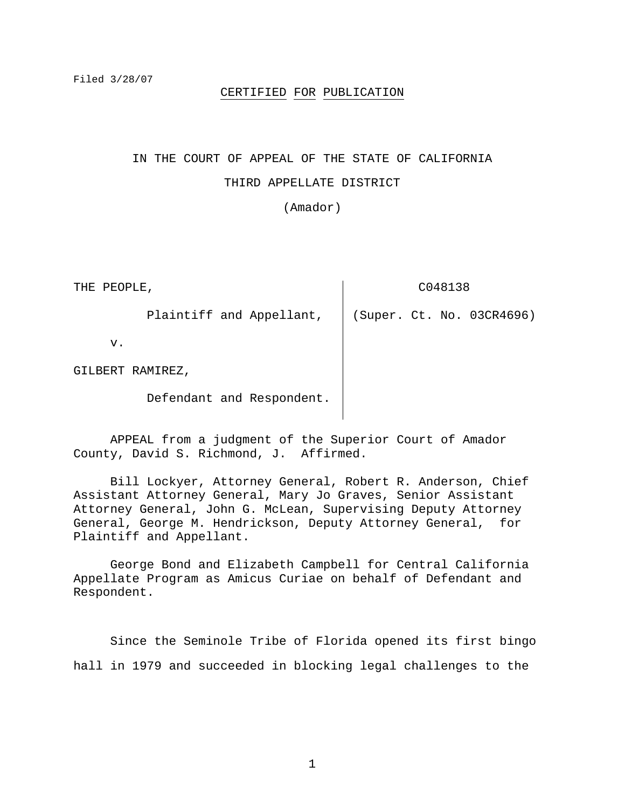#### CERTIFIED FOR PUBLICATION

## IN THE COURT OF APPEAL OF THE STATE OF CALIFORNIA

#### THIRD APPELLATE DISTRICT

(Amador)

THE PEOPLE, Plaintiff and Appellant, v. GILBERT RAMIREZ, Defendant and Respondent. C048138 (Super. Ct. No. 03CR4696)

 APPEAL from a judgment of the Superior Court of Amador County, David S. Richmond, J. Affirmed.

 Bill Lockyer, Attorney General, Robert R. Anderson, Chief Assistant Attorney General, Mary Jo Graves, Senior Assistant Attorney General, John G. McLean, Supervising Deputy Attorney General, George M. Hendrickson, Deputy Attorney General, for Plaintiff and Appellant.

 George Bond and Elizabeth Campbell for Central California Appellate Program as Amicus Curiae on behalf of Defendant and Respondent.

 Since the Seminole Tribe of Florida opened its first bingo hall in 1979 and succeeded in blocking legal challenges to the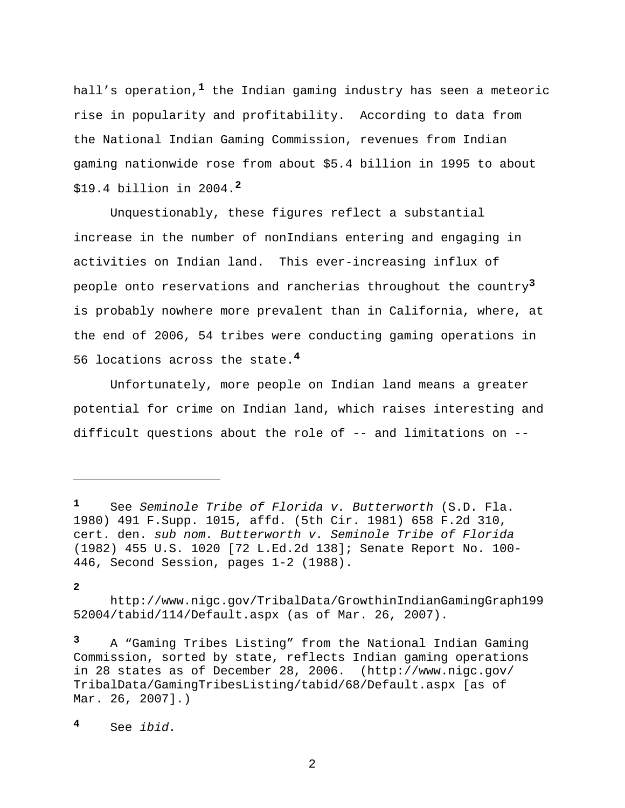hall's operation,**1** the Indian gaming industry has seen a meteoric rise in popularity and profitability. According to data from the National Indian Gaming Commission, revenues from Indian gaming nationwide rose from about \$5.4 billion in 1995 to about \$19.4 billion in 2004.**<sup>2</sup>**

 Unquestionably, these figures reflect a substantial increase in the number of nonIndians entering and engaging in activities on Indian land. This ever-increasing influx of people onto reservations and rancherias throughout the country**<sup>3</sup>** is probably nowhere more prevalent than in California, where, at the end of 2006, 54 tribes were conducting gaming operations in 56 locations across the state.**<sup>4</sup>**

 Unfortunately, more people on Indian land means a greater potential for crime on Indian land, which raises interesting and difficult questions about the role of -- and limitations on --

**2**

i

 http://www.nigc.gov/TribalData/GrowthinIndianGamingGraph199 52004/tabid/114/Default.aspx (as of Mar. 26, 2007).

**<sup>3</sup>** A "Gaming Tribes Listing" from the National Indian Gaming Commission, sorted by state, reflects Indian gaming operations in 28 states as of December 28, 2006. (http://www.nigc.gov/ TribalData/GamingTribesListing/tabid/68/Default.aspx [as of Mar. 26, 2007].)

**<sup>4</sup>** See *ibid.*

**<sup>1</sup>** See *Seminole Tribe of Florida v. Butterworth* (S.D. Fla. 1980) 491 F.Supp. 1015, affd. (5th Cir. 1981) 658 F.2d 310, cert. den. *sub nom. Butterworth v. Seminole Tribe of Florida* (1982) 455 U.S. 1020 [72 L.Ed.2d 138]; Senate Report No. 100- 446, Second Session, pages 1-2 (1988).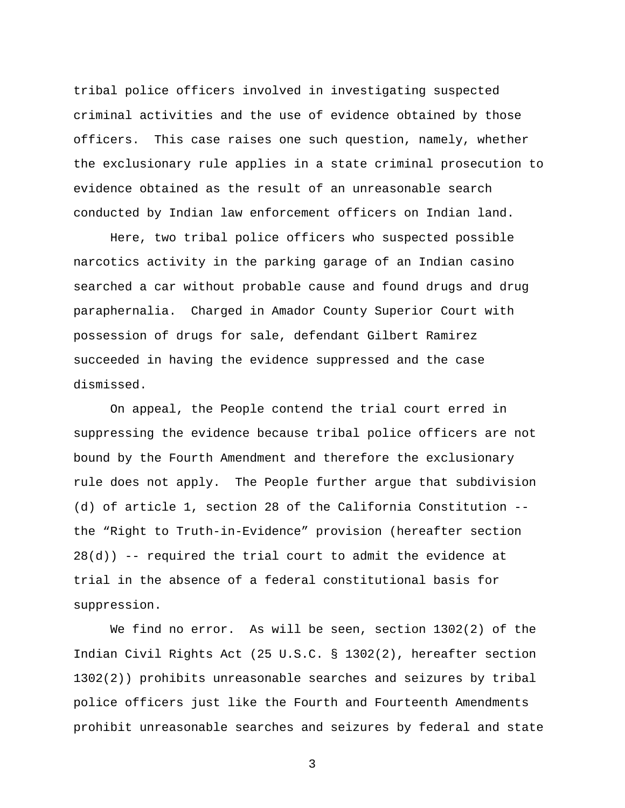tribal police officers involved in investigating suspected criminal activities and the use of evidence obtained by those officers. This case raises one such question, namely, whether the exclusionary rule applies in a state criminal prosecution to evidence obtained as the result of an unreasonable search conducted by Indian law enforcement officers on Indian land.

 Here, two tribal police officers who suspected possible narcotics activity in the parking garage of an Indian casino searched a car without probable cause and found drugs and drug paraphernalia. Charged in Amador County Superior Court with possession of drugs for sale, defendant Gilbert Ramirez succeeded in having the evidence suppressed and the case dismissed.

 On appeal, the People contend the trial court erred in suppressing the evidence because tribal police officers are not bound by the Fourth Amendment and therefore the exclusionary rule does not apply. The People further argue that subdivision (d) of article 1, section 28 of the California Constitution - the "Right to Truth-in-Evidence" provision (hereafter section 28(d)) -- required the trial court to admit the evidence at trial in the absence of a federal constitutional basis for suppression.

 We find no error. As will be seen, section 1302(2) of the Indian Civil Rights Act (25 U.S.C. § 1302(2), hereafter section 1302(2)) prohibits unreasonable searches and seizures by tribal police officers just like the Fourth and Fourteenth Amendments prohibit unreasonable searches and seizures by federal and state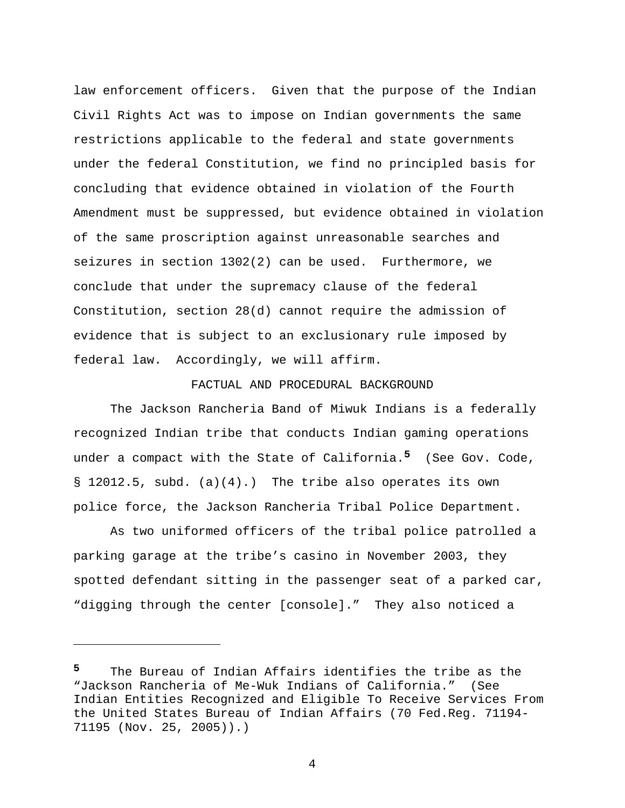law enforcement officers. Given that the purpose of the Indian Civil Rights Act was to impose on Indian governments the same restrictions applicable to the federal and state governments under the federal Constitution, we find no principled basis for concluding that evidence obtained in violation of the Fourth Amendment must be suppressed, but evidence obtained in violation of the same proscription against unreasonable searches and seizures in section 1302(2) can be used. Furthermore, we conclude that under the supremacy clause of the federal Constitution, section 28(d) cannot require the admission of evidence that is subject to an exclusionary rule imposed by federal law. Accordingly, we will affirm.

### FACTUAL AND PROCEDURAL BACKGROUND

 The Jackson Rancheria Band of Miwuk Indians is a federally recognized Indian tribe that conducts Indian gaming operations under a compact with the State of California.**5** (See Gov. Code, § 12012.5, subd. (a)(4).) The tribe also operates its own police force, the Jackson Rancheria Tribal Police Department.

 As two uniformed officers of the tribal police patrolled a parking garage at the tribe's casino in November 2003, they spotted defendant sitting in the passenger seat of a parked car, "digging through the center [console]." They also noticed a

i<br>Li

**<sup>5</sup>** The Bureau of Indian Affairs identifies the tribe as the "Jackson Rancheria of Me-Wuk Indians of California." (See Indian Entities Recognized and Eligible To Receive Services From the United States Bureau of Indian Affairs (70 Fed.Reg. 71194- 71195 (Nov. 25, 2005)).)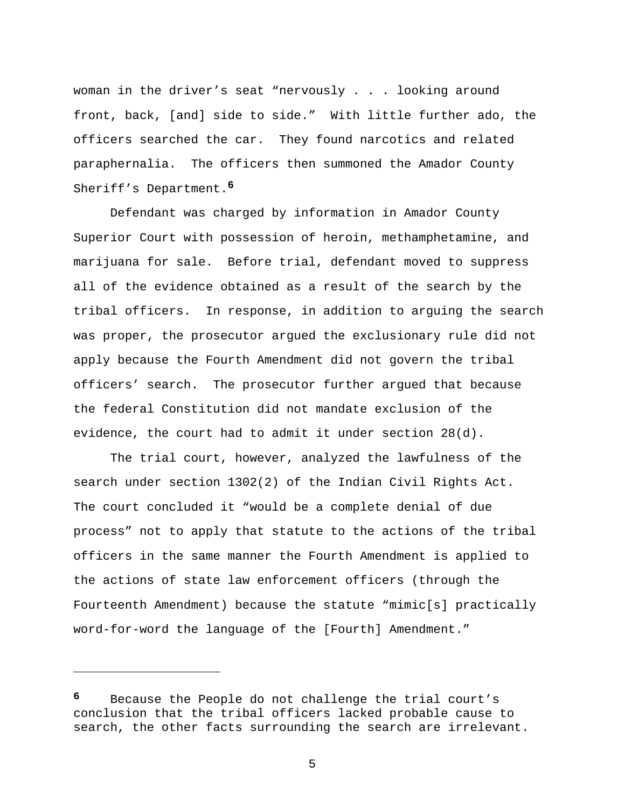woman in the driver's seat "nervously . . . looking around front, back, [and] side to side." With little further ado, the officers searched the car. They found narcotics and related paraphernalia. The officers then summoned the Amador County Sheriff's Department.**<sup>6</sup>**

 Defendant was charged by information in Amador County Superior Court with possession of heroin, methamphetamine, and marijuana for sale. Before trial, defendant moved to suppress all of the evidence obtained as a result of the search by the tribal officers. In response, in addition to arguing the search was proper, the prosecutor argued the exclusionary rule did not apply because the Fourth Amendment did not govern the tribal officers' search. The prosecutor further argued that because the federal Constitution did not mandate exclusion of the evidence, the court had to admit it under section 28(d).

 The trial court, however, analyzed the lawfulness of the search under section 1302(2) of the Indian Civil Rights Act. The court concluded it "would be a complete denial of due process" not to apply that statute to the actions of the tribal officers in the same manner the Fourth Amendment is applied to the actions of state law enforcement officers (through the Fourteenth Amendment) because the statute "mimic[s] practically word-for-word the language of the [Fourth] Amendment."

 $\overline{\phantom{0}}$ 

**<sup>6</sup>** Because the People do not challenge the trial court's conclusion that the tribal officers lacked probable cause to search, the other facts surrounding the search are irrelevant.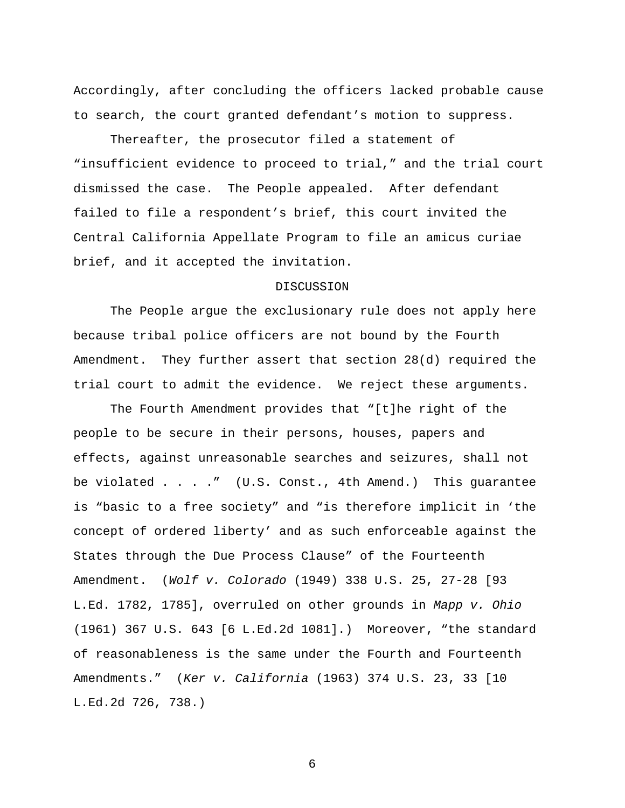Accordingly, after concluding the officers lacked probable cause to search, the court granted defendant's motion to suppress.

 Thereafter, the prosecutor filed a statement of "insufficient evidence to proceed to trial," and the trial court dismissed the case. The People appealed. After defendant failed to file a respondent's brief, this court invited the Central California Appellate Program to file an amicus curiae brief, and it accepted the invitation.

## DISCUSSION

 The People argue the exclusionary rule does not apply here because tribal police officers are not bound by the Fourth Amendment. They further assert that section 28(d) required the trial court to admit the evidence. We reject these arguments.

 The Fourth Amendment provides that "[t]he right of the people to be secure in their persons, houses, papers and effects, against unreasonable searches and seizures, shall not be violated . . . . " (U.S. Const., 4th Amend.) This guarantee is "basic to a free society" and "is therefore implicit in 'the concept of ordered liberty' and as such enforceable against the States through the Due Process Clause" of the Fourteenth Amendment. (*Wolf v. Colorado* (1949) 338 U.S. 25, 27-28 [93 L.Ed. 1782, 1785], overruled on other grounds in *Mapp v. Ohio* (1961) 367 U.S. 643 [6 L.Ed.2d 1081].) Moreover, "the standard of reasonableness is the same under the Fourth and Fourteenth Amendments." (*Ker v. California* (1963) 374 U.S. 23, 33 [10 L.Ed.2d 726, 738.)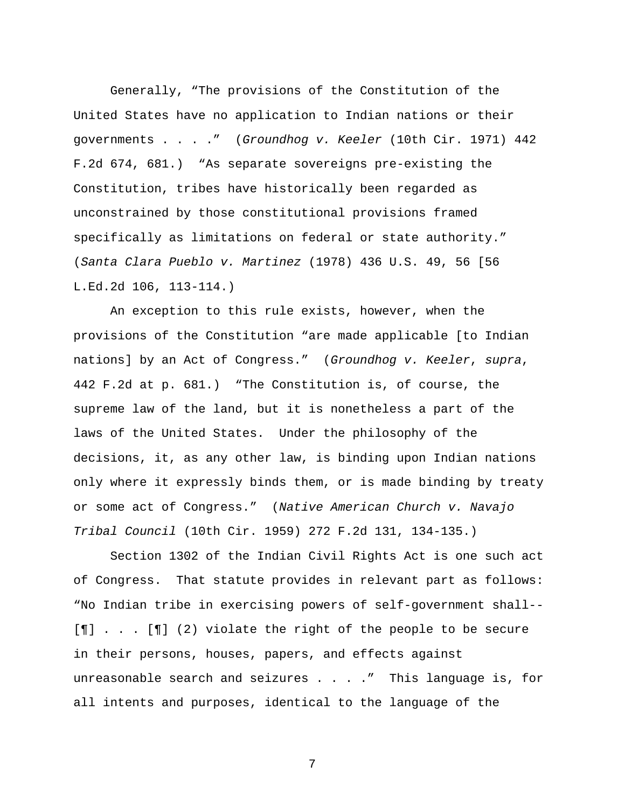Generally, "The provisions of the Constitution of the United States have no application to Indian nations or their governments . . . ." (*Groundhog v. Keeler* (10th Cir. 1971) 442 F.2d 674, 681.) "As separate sovereigns pre-existing the Constitution, tribes have historically been regarded as unconstrained by those constitutional provisions framed specifically as limitations on federal or state authority." (*Santa Clara Pueblo v. Martinez* (1978) 436 U.S. 49, 56 [56 L.Ed.2d 106, 113-114.)

 An exception to this rule exists, however, when the provisions of the Constitution "are made applicable [to Indian nations] by an Act of Congress." (*Groundhog v. Keeler*, *supra*, 442 F.2d at p. 681.) "The Constitution is, of course, the supreme law of the land, but it is nonetheless a part of the laws of the United States. Under the philosophy of the decisions, it, as any other law, is binding upon Indian nations only where it expressly binds them, or is made binding by treaty or some act of Congress." (*Native American Church v. Navajo Tribal Council* (10th Cir. 1959) 272 F.2d 131, 134-135.)

 Section 1302 of the Indian Civil Rights Act is one such act of Congress. That statute provides in relevant part as follows: "No Indian tribe in exercising powers of self-government shall-- [¶] . . . [¶] (2) violate the right of the people to be secure in their persons, houses, papers, and effects against unreasonable search and seizures . . . . " This language is, for all intents and purposes, identical to the language of the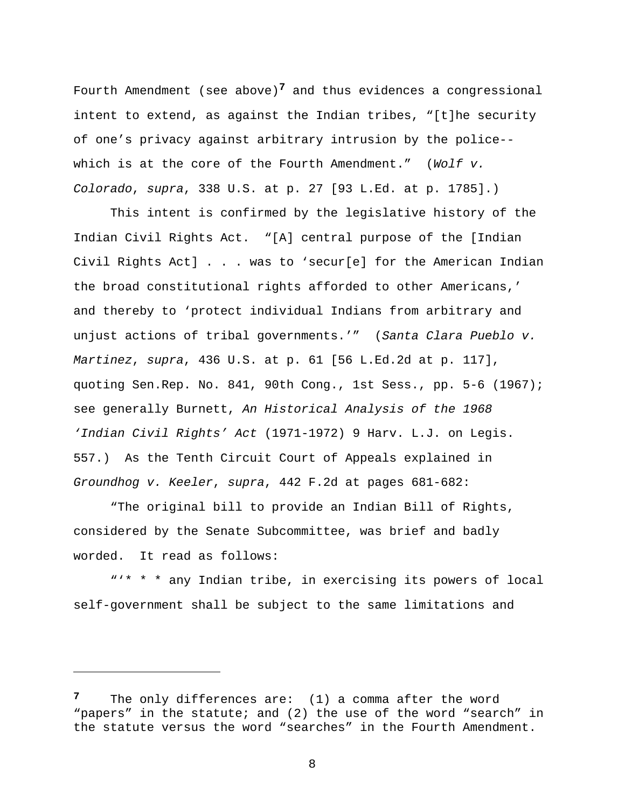Fourth Amendment (see above)**7** and thus evidences a congressional intent to extend, as against the Indian tribes, "[t]he security of one's privacy against arbitrary intrusion by the police- which is at the core of the Fourth Amendment." (*Wolf v. Colorado*, *supra*, 338 U.S. at p. 27 [93 L.Ed. at p. 1785].)

 This intent is confirmed by the legislative history of the Indian Civil Rights Act. "[A] central purpose of the [Indian Civil Rights Act] . . . was to 'secur[e] for the American Indian the broad constitutional rights afforded to other Americans,' and thereby to 'protect individual Indians from arbitrary and unjust actions of tribal governments.'" (*Santa Clara Pueblo v. Martinez*, *supra*, 436 U.S. at p. 61 [56 L.Ed.2d at p. 117], quoting Sen.Rep. No. 841, 90th Cong., 1st Sess., pp. 5-6 (1967); see generally Burnett, *An Historical Analysis of the 1968 'Indian Civil Rights' Act* (1971-1972) 9 Harv. L.J. on Legis. 557.) As the Tenth Circuit Court of Appeals explained in *Groundhog v. Keeler*, *supra*, 442 F.2d at pages 681-682:

 "The original bill to provide an Indian Bill of Rights, considered by the Senate Subcommittee, was brief and badly worded. It read as follows:

 "'\* \* \* any Indian tribe, in exercising its powers of local self-government shall be subject to the same limitations and

i

**<sup>7</sup>** The only differences are: (1) a comma after the word "papers" in the statute; and (2) the use of the word "search" in the statute versus the word "searches" in the Fourth Amendment.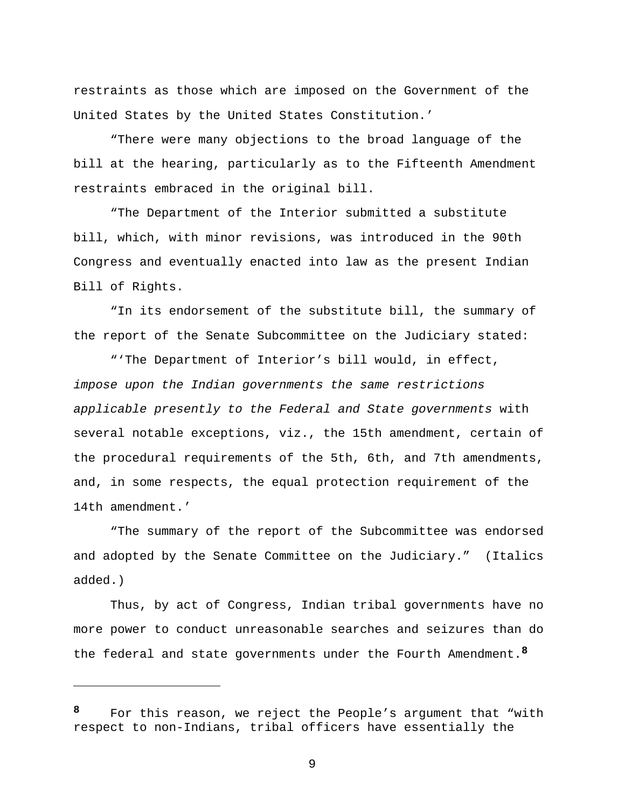restraints as those which are imposed on the Government of the United States by the United States Constitution.'

 "There were many objections to the broad language of the bill at the hearing, particularly as to the Fifteenth Amendment restraints embraced in the original bill.

 "The Department of the Interior submitted a substitute bill, which, with minor revisions, was introduced in the 90th Congress and eventually enacted into law as the present Indian Bill of Rights.

 "In its endorsement of the substitute bill, the summary of the report of the Senate Subcommittee on the Judiciary stated:

 "'The Department of Interior's bill would, in effect, *impose upon the Indian governments the same restrictions applicable presently to the Federal and State governments* with several notable exceptions, viz., the 15th amendment, certain of the procedural requirements of the 5th, 6th, and 7th amendments, and, in some respects, the equal protection requirement of the 14th amendment.'

 "The summary of the report of the Subcommittee was endorsed and adopted by the Senate Committee on the Judiciary." (Italics added.)

 Thus, by act of Congress, Indian tribal governments have no more power to conduct unreasonable searches and seizures than do the federal and state governments under the Fourth Amendment.**<sup>8</sup>**

i

**<sup>8</sup>** For this reason, we reject the People's argument that "with respect to non-Indians, tribal officers have essentially the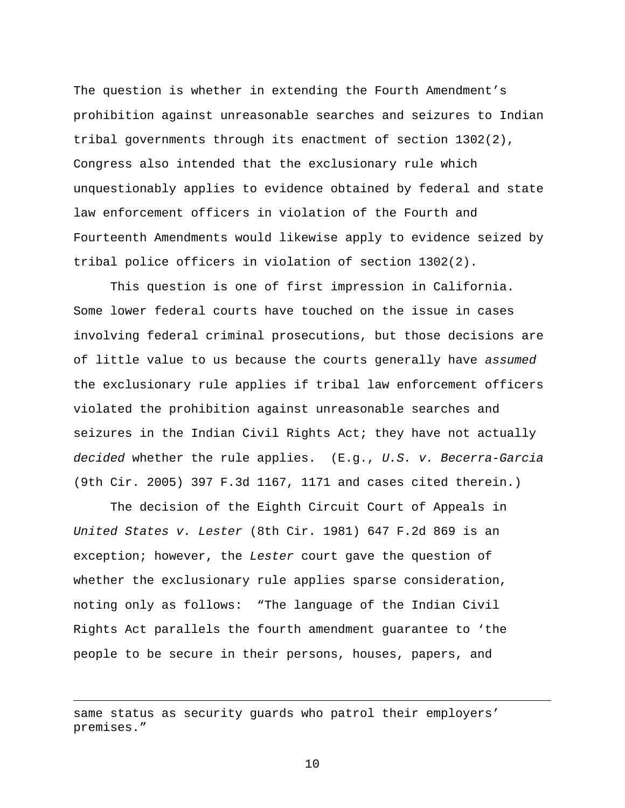The question is whether in extending the Fourth Amendment's prohibition against unreasonable searches and seizures to Indian tribal governments through its enactment of section 1302(2), Congress also intended that the exclusionary rule which unquestionably applies to evidence obtained by federal and state law enforcement officers in violation of the Fourth and Fourteenth Amendments would likewise apply to evidence seized by tribal police officers in violation of section 1302(2).

 This question is one of first impression in California. Some lower federal courts have touched on the issue in cases involving federal criminal prosecutions, but those decisions are of little value to us because the courts generally have *assumed* the exclusionary rule applies if tribal law enforcement officers violated the prohibition against unreasonable searches and seizures in the Indian Civil Rights Act; they have not actually *decided* whether the rule applies. (E.g., *U.S. v. Becerra-Garcia* (9th Cir. 2005) 397 F.3d 1167, 1171 and cases cited therein.)

 The decision of the Eighth Circuit Court of Appeals in *United States v. Lester* (8th Cir. 1981) 647 F.2d 869 is an exception; however, the *Lester* court gave the question of whether the exclusionary rule applies sparse consideration, noting only as follows: "The language of the Indian Civil Rights Act parallels the fourth amendment guarantee to 'the people to be secure in their persons, houses, papers, and

 $\overline{\phantom{0}}$ 

same status as security guards who patrol their employers' premises."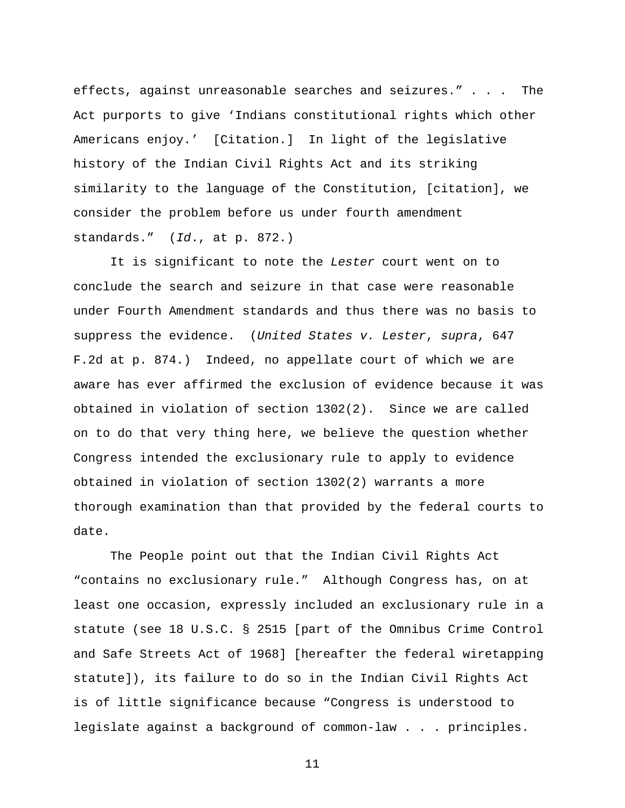effects, against unreasonable searches and seizures." . . . The Act purports to give 'Indians constitutional rights which other Americans enjoy.' [Citation.] In light of the legislative history of the Indian Civil Rights Act and its striking similarity to the language of the Constitution, [citation], we consider the problem before us under fourth amendment standards." (*Id*., at p. 872.)

 It is significant to note the *Lester* court went on to conclude the search and seizure in that case were reasonable under Fourth Amendment standards and thus there was no basis to suppress the evidence. (*United States v. Lester*, *supra*, 647 F.2d at p. 874.) Indeed, no appellate court of which we are aware has ever affirmed the exclusion of evidence because it was obtained in violation of section 1302(2). Since we are called on to do that very thing here, we believe the question whether Congress intended the exclusionary rule to apply to evidence obtained in violation of section 1302(2) warrants a more thorough examination than that provided by the federal courts to date.

 The People point out that the Indian Civil Rights Act "contains no exclusionary rule." Although Congress has, on at least one occasion, expressly included an exclusionary rule in a statute (see 18 U.S.C. § 2515 [part of the Omnibus Crime Control and Safe Streets Act of 1968] [hereafter the federal wiretapping statute]), its failure to do so in the Indian Civil Rights Act is of little significance because "Congress is understood to legislate against a background of common-law . . . principles.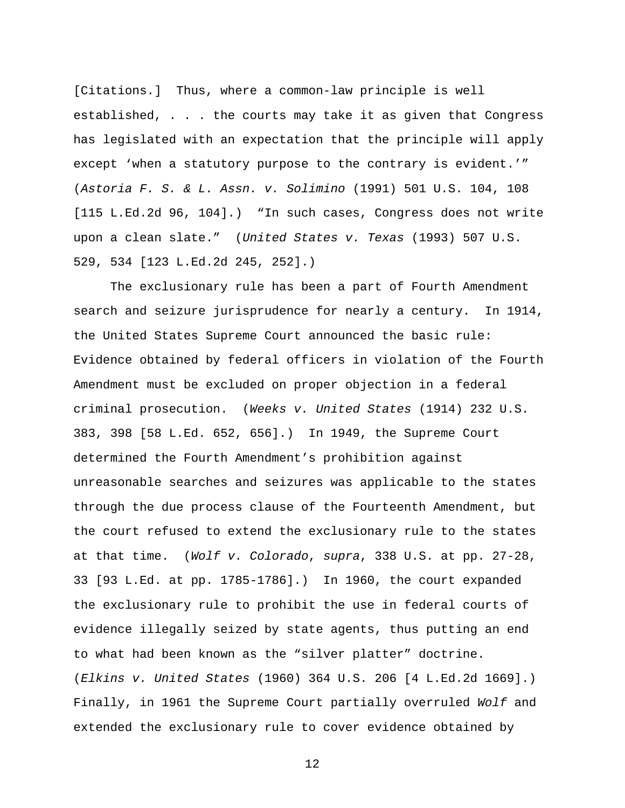[Citations.] Thus, where a common-law principle is well established, . . . the courts may take it as given that Congress has legislated with an expectation that the principle will apply except 'when a statutory purpose to the contrary is evident.'" (*Astoria F. S. & L. Assn. v. Solimino* (1991) 501 U.S. 104, 108 [115 L.Ed.2d 96, 104].) "In such cases, Congress does not write upon a clean slate." (*United States v. Texas* (1993) 507 U.S. 529, 534 [123 L.Ed.2d 245, 252].)

 The exclusionary rule has been a part of Fourth Amendment search and seizure jurisprudence for nearly a century. In 1914, the United States Supreme Court announced the basic rule: Evidence obtained by federal officers in violation of the Fourth Amendment must be excluded on proper objection in a federal criminal prosecution. (*Weeks v. United States* (1914) 232 U.S. 383, 398 [58 L.Ed. 652, 656].) In 1949, the Supreme Court determined the Fourth Amendment's prohibition against unreasonable searches and seizures was applicable to the states through the due process clause of the Fourteenth Amendment, but the court refused to extend the exclusionary rule to the states at that time. (*Wolf v. Colorado*, *supra*, 338 U.S. at pp. 27-28, 33 [93 L.Ed. at pp. 1785-1786].) In 1960, the court expanded the exclusionary rule to prohibit the use in federal courts of evidence illegally seized by state agents, thus putting an end to what had been known as the "silver platter" doctrine. (*Elkins v. United States* (1960) 364 U.S. 206 [4 L.Ed.2d 1669].) Finally, in 1961 the Supreme Court partially overruled *Wolf* and extended the exclusionary rule to cover evidence obtained by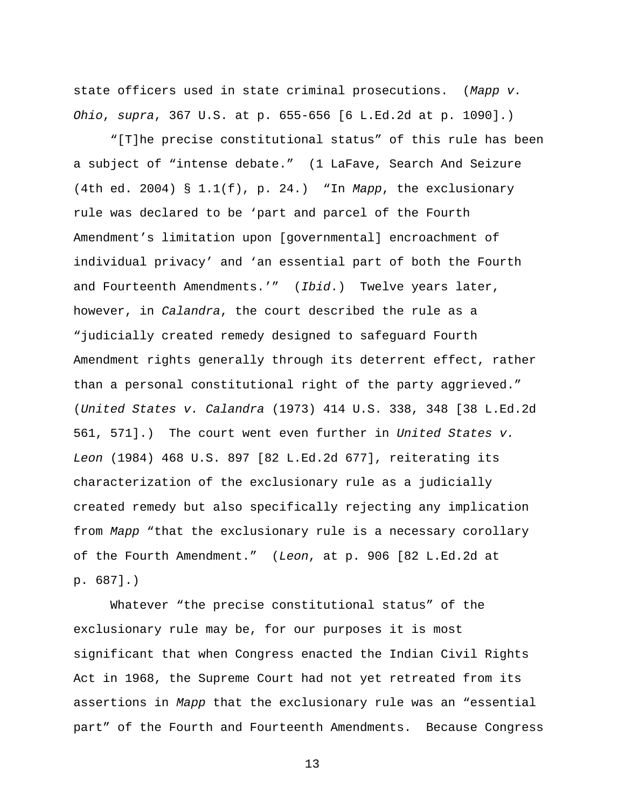state officers used in state criminal prosecutions. (*Mapp v. Ohio*, *supra*, 367 U.S. at p. 655-656 [6 L.Ed.2d at p. 1090].)

 "[T]he precise constitutional status" of this rule has been a subject of "intense debate." (1 LaFave, Search And Seizure (4th ed. 2004) § 1.1(f), p. 24.) "In *Mapp*, the exclusionary rule was declared to be 'part and parcel of the Fourth Amendment's limitation upon [governmental] encroachment of individual privacy' and 'an essential part of both the Fourth and Fourteenth Amendments.'" (*Ibid*.) Twelve years later, however, in *Calandra*, the court described the rule as a "judicially created remedy designed to safeguard Fourth Amendment rights generally through its deterrent effect, rather than a personal constitutional right of the party aggrieved." (*United States v. Calandra* (1973) 414 U.S. 338, 348 [38 L.Ed.2d 561, 571].) The court went even further in *United States v. Leon* (1984) 468 U.S. 897 [82 L.Ed.2d 677], reiterating its characterization of the exclusionary rule as a judicially created remedy but also specifically rejecting any implication from *Mapp* "that the exclusionary rule is a necessary corollary of the Fourth Amendment." (*Leon*, at p. 906 [82 L.Ed.2d at p. 687].)

 Whatever "the precise constitutional status" of the exclusionary rule may be, for our purposes it is most significant that when Congress enacted the Indian Civil Rights Act in 1968, the Supreme Court had not yet retreated from its assertions in *Mapp* that the exclusionary rule was an "essential part" of the Fourth and Fourteenth Amendments. Because Congress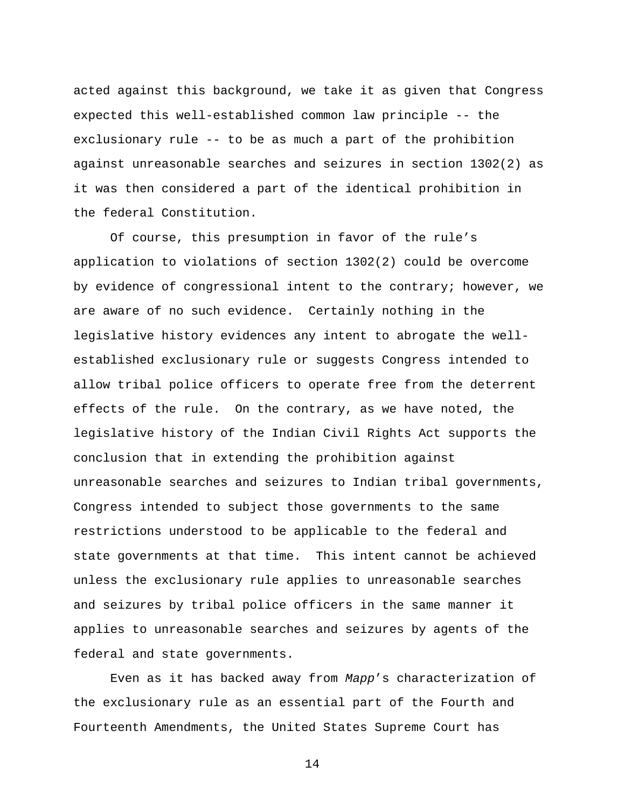acted against this background, we take it as given that Congress expected this well-established common law principle -- the exclusionary rule -- to be as much a part of the prohibition against unreasonable searches and seizures in section 1302(2) as it was then considered a part of the identical prohibition in the federal Constitution.

 Of course, this presumption in favor of the rule's application to violations of section 1302(2) could be overcome by evidence of congressional intent to the contrary; however, we are aware of no such evidence. Certainly nothing in the legislative history evidences any intent to abrogate the wellestablished exclusionary rule or suggests Congress intended to allow tribal police officers to operate free from the deterrent effects of the rule. On the contrary, as we have noted, the legislative history of the Indian Civil Rights Act supports the conclusion that in extending the prohibition against unreasonable searches and seizures to Indian tribal governments, Congress intended to subject those governments to the same restrictions understood to be applicable to the federal and state governments at that time. This intent cannot be achieved unless the exclusionary rule applies to unreasonable searches and seizures by tribal police officers in the same manner it applies to unreasonable searches and seizures by agents of the federal and state governments.

 Even as it has backed away from *Mapp*'s characterization of the exclusionary rule as an essential part of the Fourth and Fourteenth Amendments, the United States Supreme Court has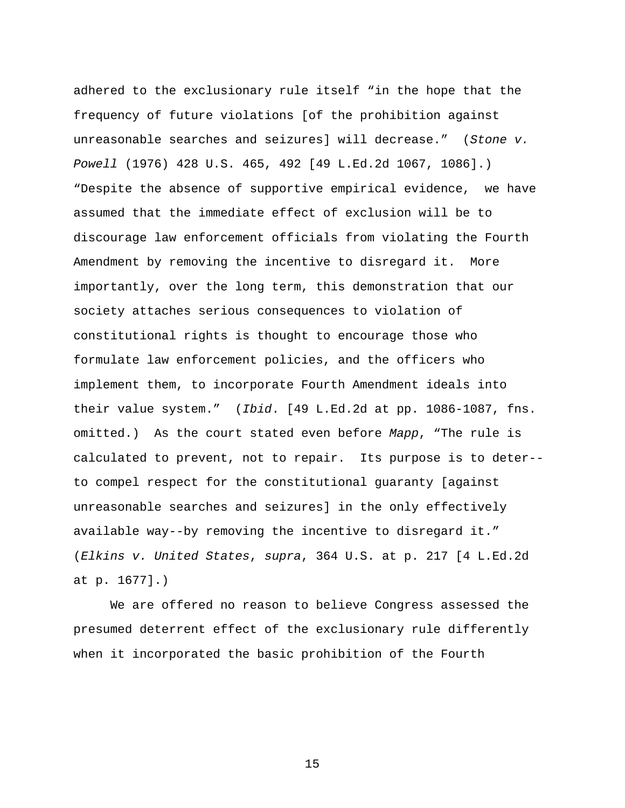adhered to the exclusionary rule itself "in the hope that the frequency of future violations [of the prohibition against unreasonable searches and seizures] will decrease." (*Stone v. Powell* (1976) 428 U.S. 465, 492 [49 L.Ed.2d 1067, 1086].) "Despite the absence of supportive empirical evidence, we have assumed that the immediate effect of exclusion will be to discourage law enforcement officials from violating the Fourth Amendment by removing the incentive to disregard it. More importantly, over the long term, this demonstration that our society attaches serious consequences to violation of constitutional rights is thought to encourage those who formulate law enforcement policies, and the officers who implement them, to incorporate Fourth Amendment ideals into their value system." (*Ibid*. [49 L.Ed.2d at pp. 1086-1087, fns. omitted.) As the court stated even before *Mapp*, "The rule is calculated to prevent, not to repair. Its purpose is to deter- to compel respect for the constitutional guaranty [against unreasonable searches and seizures] in the only effectively available way--by removing the incentive to disregard it." (*Elkins v. United States*, *supra*, 364 U.S. at p. 217 [4 L.Ed.2d at p. 1677].)

 We are offered no reason to believe Congress assessed the presumed deterrent effect of the exclusionary rule differently when it incorporated the basic prohibition of the Fourth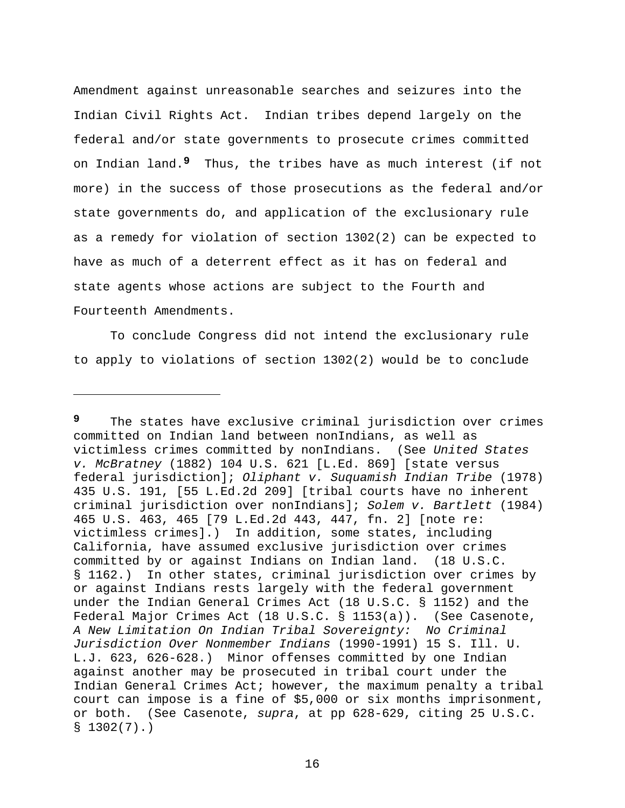Amendment against unreasonable searches and seizures into the Indian Civil Rights Act. Indian tribes depend largely on the federal and/or state governments to prosecute crimes committed on Indian land.**9** Thus, the tribes have as much interest (if not more) in the success of those prosecutions as the federal and/or state governments do, and application of the exclusionary rule as a remedy for violation of section 1302(2) can be expected to have as much of a deterrent effect as it has on federal and state agents whose actions are subject to the Fourth and Fourteenth Amendments.

 To conclude Congress did not intend the exclusionary rule to apply to violations of section 1302(2) would be to conclude

i

**<sup>9</sup>** The states have exclusive criminal jurisdiction over crimes committed on Indian land between nonIndians, as well as victimless crimes committed by nonIndians. (See *United States v. McBratney* (1882) 104 U.S. 621 [L.Ed. 869] [state versus federal jurisdiction]; *Oliphant v. Suquamish Indian Tribe* (1978) 435 U.S. 191, [55 L.Ed.2d 209] [tribal courts have no inherent criminal jurisdiction over nonIndians]; *Solem v. Bartlett* (1984) 465 U.S. 463, 465 [79 L.Ed.2d 443, 447, fn. 2] [note re: victimless crimes].) In addition, some states, including California, have assumed exclusive jurisdiction over crimes committed by or against Indians on Indian land. (18 U.S.C. § 1162.) In other states, criminal jurisdiction over crimes by or against Indians rests largely with the federal government under the Indian General Crimes Act (18 U.S.C. § 1152) and the Federal Major Crimes Act (18 U.S.C. § 1153(a)). (See Casenote, *A New Limitation On Indian Tribal Sovereignty: No Criminal Jurisdiction Over Nonmember Indians* (1990-1991) 15 S. Ill. U. L.J. 623, 626-628.) Minor offenses committed by one Indian against another may be prosecuted in tribal court under the Indian General Crimes Act; however, the maximum penalty a tribal court can impose is a fine of \$5,000 or six months imprisonment, or both. (See Casenote, *supra*, at pp 628-629, citing 25 U.S.C.  $$1302(7).$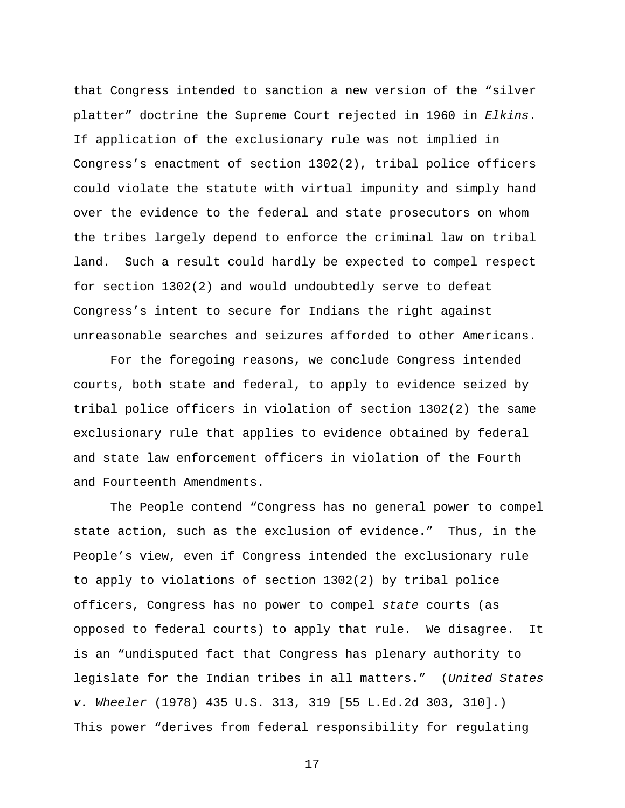that Congress intended to sanction a new version of the "silver platter" doctrine the Supreme Court rejected in 1960 in *Elkins*. If application of the exclusionary rule was not implied in Congress's enactment of section 1302(2), tribal police officers could violate the statute with virtual impunity and simply hand over the evidence to the federal and state prosecutors on whom the tribes largely depend to enforce the criminal law on tribal land. Such a result could hardly be expected to compel respect for section 1302(2) and would undoubtedly serve to defeat Congress's intent to secure for Indians the right against unreasonable searches and seizures afforded to other Americans.

 For the foregoing reasons, we conclude Congress intended courts, both state and federal, to apply to evidence seized by tribal police officers in violation of section 1302(2) the same exclusionary rule that applies to evidence obtained by federal and state law enforcement officers in violation of the Fourth and Fourteenth Amendments.

 The People contend "Congress has no general power to compel state action, such as the exclusion of evidence." Thus, in the People's view, even if Congress intended the exclusionary rule to apply to violations of section 1302(2) by tribal police officers, Congress has no power to compel *state* courts (as opposed to federal courts) to apply that rule. We disagree. It is an "undisputed fact that Congress has plenary authority to legislate for the Indian tribes in all matters." (*United States v. Wheeler* (1978) 435 U.S. 313, 319 [55 L.Ed.2d 303, 310].) This power "derives from federal responsibility for regulating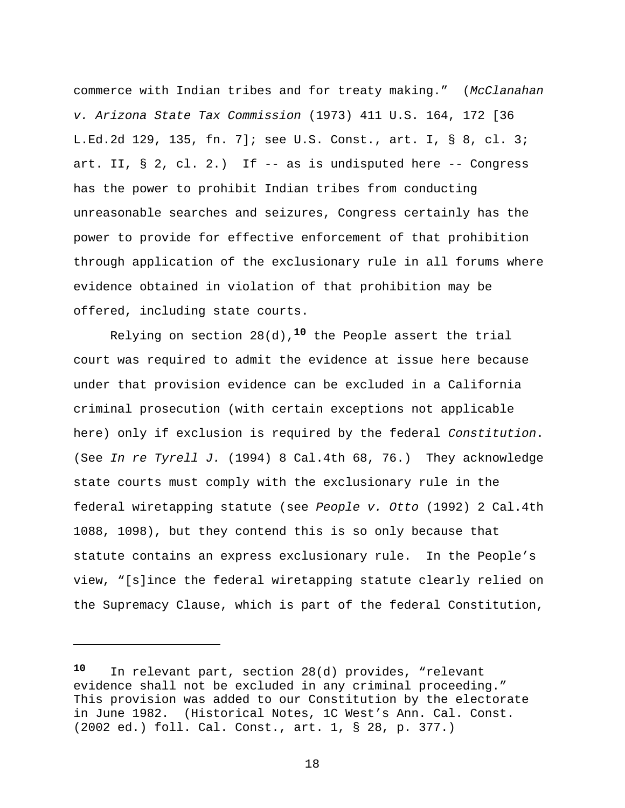commerce with Indian tribes and for treaty making." (*McClanahan v. Arizona State Tax Commission* (1973) 411 U.S. 164, 172 [36 L.Ed.2d 129, 135, fn. 7]; see U.S. Const., art. I, § 8, cl. 3; art. II, § 2, cl. 2.) If -- as is undisputed here -- Congress has the power to prohibit Indian tribes from conducting unreasonable searches and seizures, Congress certainly has the power to provide for effective enforcement of that prohibition through application of the exclusionary rule in all forums where evidence obtained in violation of that prohibition may be offered, including state courts.

 Relying on section 28(d),**10** the People assert the trial court was required to admit the evidence at issue here because under that provision evidence can be excluded in a California criminal prosecution (with certain exceptions not applicable here) only if exclusion is required by the federal *Constitution*. (See *In re Tyrell J.* (1994) 8 Cal.4th 68, 76.) They acknowledge state courts must comply with the exclusionary rule in the federal wiretapping statute (see *People v. Otto* (1992) 2 Cal.4th 1088, 1098), but they contend this is so only because that statute contains an express exclusionary rule. In the People's view, "[s]ince the federal wiretapping statute clearly relied on the Supremacy Clause, which is part of the federal Constitution,

i<br>Li

**<sup>10</sup>** In relevant part, section 28(d) provides, "relevant evidence shall not be excluded in any criminal proceeding." This provision was added to our Constitution by the electorate in June 1982. (Historical Notes, 1C West's Ann. Cal. Const. (2002 ed.) foll. Cal. Const., art. 1, § 28, p. 377.)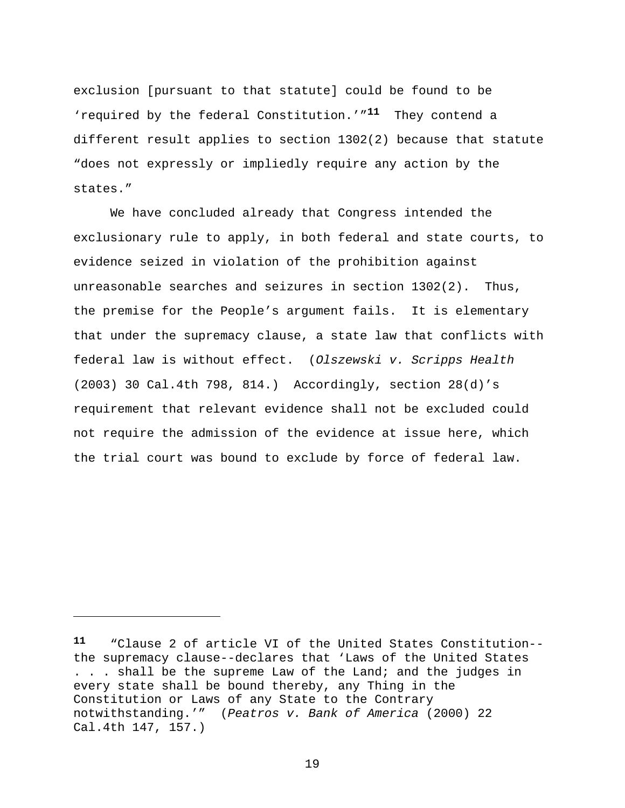exclusion [pursuant to that statute] could be found to be 'required by the federal Constitution.'"**11** They contend a different result applies to section 1302(2) because that statute "does not expressly or impliedly require any action by the states."

 We have concluded already that Congress intended the exclusionary rule to apply, in both federal and state courts, to evidence seized in violation of the prohibition against unreasonable searches and seizures in section 1302(2). Thus, the premise for the People's argument fails. It is elementary that under the supremacy clause, a state law that conflicts with federal law is without effect. (*Olszewski v. Scripps Health* (2003) 30 Cal.4th 798, 814.) Accordingly, section 28(d)'s requirement that relevant evidence shall not be excluded could not require the admission of the evidence at issue here, which the trial court was bound to exclude by force of federal law.

i

**<sup>11</sup>** "Clause 2 of article VI of the United States Constitution- the supremacy clause--declares that 'Laws of the United States . . . shall be the supreme Law of the Land; and the judges in every state shall be bound thereby, any Thing in the Constitution or Laws of any State to the Contrary notwithstanding.'" (*Peatros v. Bank of America* (2000) 22 Cal.4th 147, 157.)